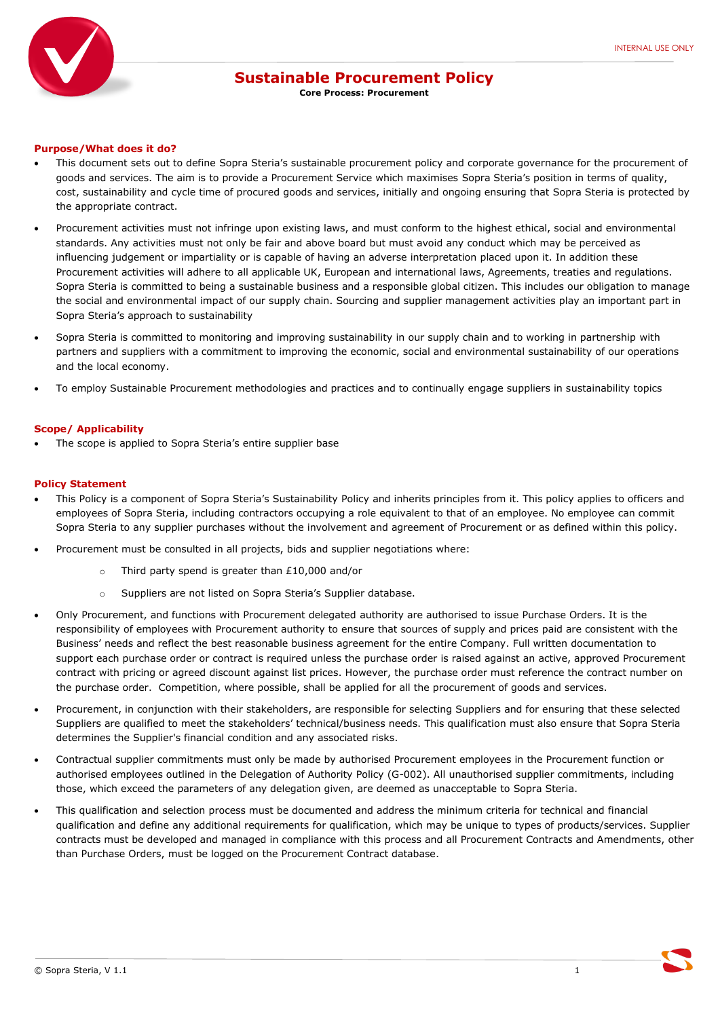

# **Sustainable Procurement Policy**

**Core Process: Procurement**

#### **Purpose/What does it do?**

- This document sets out to define Sopra Steria's sustainable procurement policy and corporate governance for the procurement of goods and services. The aim is to provide a Procurement Service which maximises Sopra Steria's position in terms of quality, cost, sustainability and cycle time of procured goods and services, initially and ongoing ensuring that Sopra Steria is protected by the appropriate contract.
- Procurement activities must not infringe upon existing laws, and must conform to the highest ethical, social and environmental standards. Any activities must not only be fair and above board but must avoid any conduct which may be perceived as influencing judgement or impartiality or is capable of having an adverse interpretation placed upon it. In addition these Procurement activities will adhere to all applicable UK, European and international laws, Agreements, treaties and regulations. Sopra Steria is committed to being a sustainable business and a responsible global citizen. This includes our obligation to manage the social and environmental impact of our supply chain. Sourcing and supplier management activities play an important part in Sopra Steria's approach to sustainability
- Sopra Steria is committed to monitoring and improving sustainability in our supply chain and to working in partnership with partners and suppliers with a commitment to improving the economic, social and environmental sustainability of our operations and the local economy.
- To employ Sustainable Procurement methodologies and practices and to continually engage suppliers in sustainability topics

#### **Scope/ Applicability**

The scope is applied to Sopra Steria's entire supplier base

### **Policy Statement**

- This Policy is a component of Sopra Steria's Sustainability Policy and inherits principles from it. This policy applies to officers and employees of Sopra Steria, including contractors occupying a role equivalent to that of an employee. No employee can commit Sopra Steria to any supplier purchases without the involvement and agreement of Procurement or as defined within this policy.
- Procurement must be consulted in all projects, bids and supplier negotiations where:
	- o Third party spend is greater than £10,000 and/or
	- o Suppliers are not listed on Sopra Steria's Supplier database.
- Only Procurement, and functions with Procurement delegated authority are authorised to issue Purchase Orders. It is the responsibility of employees with Procurement authority to ensure that sources of supply and prices paid are consistent with the Business' needs and reflect the best reasonable business agreement for the entire Company. Full written documentation to support each purchase order or contract is required unless the purchase order is raised against an active, approved Procurement contract with pricing or agreed discount against list prices. However, the purchase order must reference the contract number on the purchase order. Competition, where possible, shall be applied for all the procurement of goods and services.
- Procurement, in conjunction with their stakeholders, are responsible for selecting Suppliers and for ensuring that these selected Suppliers are qualified to meet the stakeholders' technical/business needs. This qualification must also ensure that Sopra Steria determines the Supplier's financial condition and any associated risks.
- Contractual supplier commitments must only be made by authorised Procurement employees in the Procurement function or authorised employees outlined in the Delegation of Authority Policy (G-002). All unauthorised supplier commitments, including those, which exceed the parameters of any delegation given, are deemed as unacceptable to Sopra Steria.
- This qualification and selection process must be documented and address the minimum criteria for technical and financial qualification and define any additional requirements for qualification, which may be unique to types of products/services. Supplier contracts must be developed and managed in compliance with this process and all Procurement Contracts and Amendments, other than Purchase Orders, must be logged on the Procurement Contract database.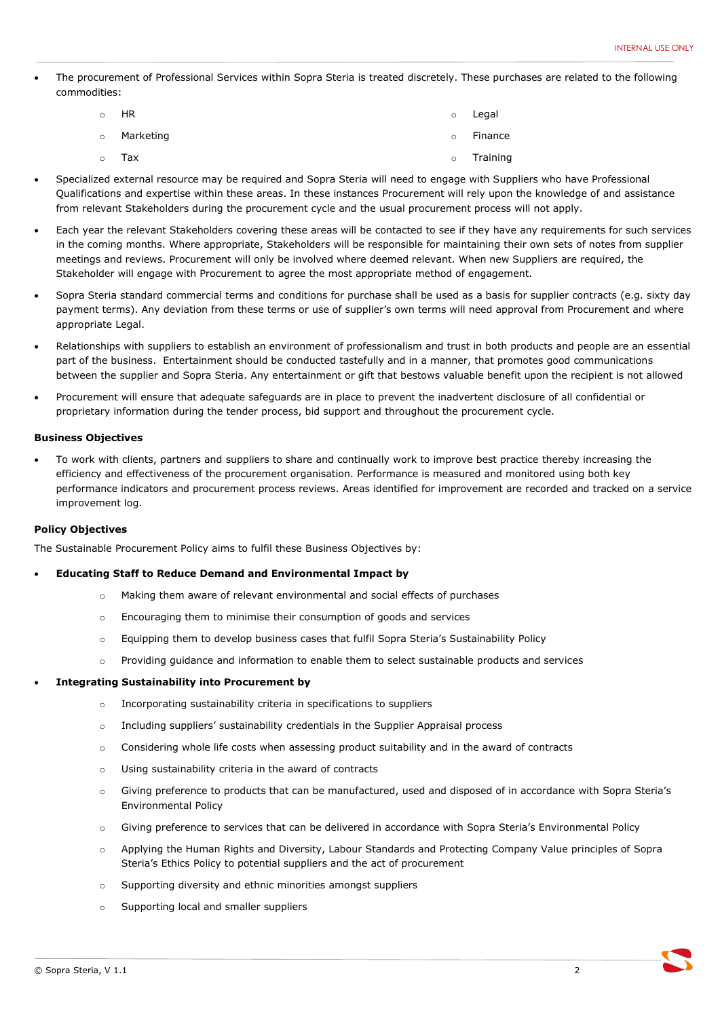The procurement of Professional Services within Sopra Steria is treated discretely. These purchases are related to the following commodities:

| 。 HR        |         | o Legal  |
|-------------|---------|----------|
| o Marketing | $\circ$ | Finance  |
| 。 Tax       | $\circ$ | Training |

- Specialized external resource may be required and Sopra Steria will need to engage with Suppliers who have Professional Qualifications and expertise within these areas. In these instances Procurement will rely upon the knowledge of and assistance from relevant Stakeholders during the procurement cycle and the usual procurement process will not apply.
- Each year the relevant Stakeholders covering these areas will be contacted to see if they have any requirements for such services in the coming months. Where appropriate, Stakeholders will be responsible for maintaining their own sets of notes from supplier meetings and reviews. Procurement will only be involved where deemed relevant. When new Suppliers are required, the Stakeholder will engage with Procurement to agree the most appropriate method of engagement.
- Sopra Steria standard commercial terms and conditions for purchase shall be used as a basis for supplier contracts (e.g. sixty day payment terms). Any deviation from these terms or use of supplier's own terms will need approval from Procurement and where appropriate Legal.
- Relationships with suppliers to establish an environment of professionalism and trust in both products and people are an essential part of the business. Entertainment should be conducted tastefully and in a manner, that promotes good communications between the supplier and Sopra Steria. Any entertainment or gift that bestows valuable benefit upon the recipient is not allowed
- Procurement will ensure that adequate safeguards are in place to prevent the inadvertent disclosure of all confidential or proprietary information during the tender process, bid support and throughout the procurement cycle.

#### **Business Objectives**

 To work with clients, partners and suppliers to share and continually work to improve best practice thereby increasing the efficiency and effectiveness of the procurement organisation. Performance is measured and monitored using both key performance indicators and procurement process reviews. Areas identified for improvement are recorded and tracked on a service improvement log.

#### **Policy Objectives**

The Sustainable Procurement Policy aims to fulfil these Business Objectives by:

#### **Educating Staff to Reduce Demand and Environmental Impact by**

- o Making them aware of relevant environmental and social effects of purchases
- o Encouraging them to minimise their consumption of goods and services
- o Equipping them to develop business cases that fulfil Sopra Steria's Sustainability Policy
- o Providing guidance and information to enable them to select sustainable products and services

#### **Integrating Sustainability into Procurement by**

- o Incorporating sustainability criteria in specifications to suppliers
- o Including suppliers' sustainability credentials in the Supplier Appraisal process
- $\circ$  Considering whole life costs when assessing product suitability and in the award of contracts
- o Using sustainability criteria in the award of contracts
- o Giving preference to products that can be manufactured, used and disposed of in accordance with Sopra Steria's Environmental Policy
- o Giving preference to services that can be delivered in accordance with Sopra Steria's Environmental Policy
- o Applying the Human Rights and Diversity, Labour Standards and Protecting Company Value principles of Sopra Steria's Ethics Policy to potential suppliers and the act of procurement
- o Supporting diversity and ethnic minorities amongst suppliers
- o Supporting local and smaller suppliers